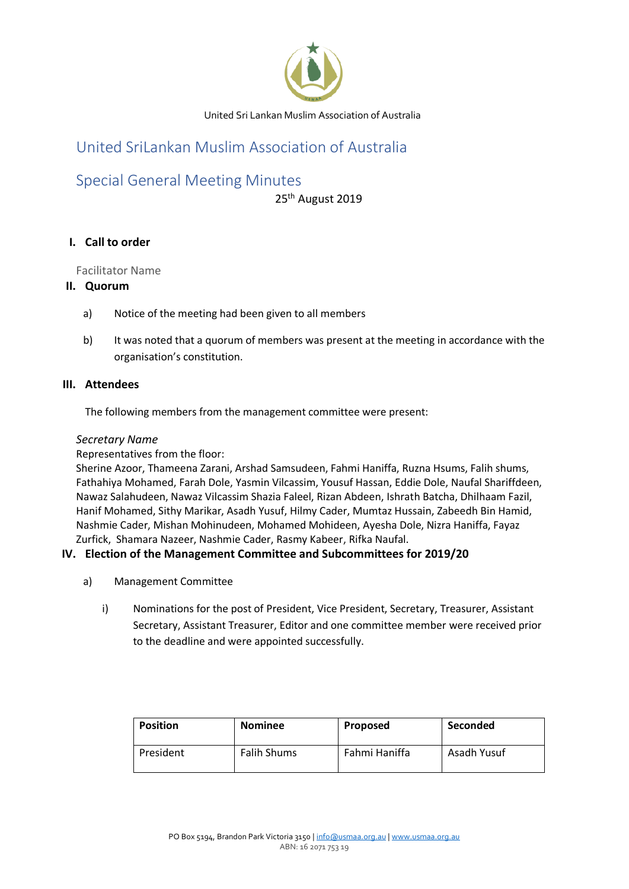

# United SriLankan Muslim Association of Australia

# Special General Meeting Minutes

25<sup>th</sup> August 2019

# **I. Call to order**

Facilitator Name

### **II. Quorum**

- a) Notice of the meeting had been given to all members
- b) It was noted that a quorum of members was present at the meeting in accordance with the organisation's constitution.

#### **III. Attendees**

The following members from the management committee were present:

#### *Secretary Name*

Representatives from the floor:

Sherine Azoor, Thameena Zarani, Arshad Samsudeen, Fahmi Haniffa, Ruzna Hsums, Falih shums, Fathahiya Mohamed, Farah Dole, Yasmin Vilcassim, Yousuf Hassan, Eddie Dole, Naufal Shariffdeen, Nawaz Salahudeen, Nawaz Vilcassim Shazia Faleel, Rizan Abdeen, Ishrath Batcha, Dhilhaam Fazil, Hanif Mohamed, Sithy Marikar, Asadh Yusuf, Hilmy Cader, Mumtaz Hussain, Zabeedh Bin Hamid, Nashmie Cader, Mishan Mohinudeen, Mohamed Mohideen, Ayesha Dole, Nizra Haniffa, Fayaz Zurfick, Shamara Nazeer, Nashmie Cader, Rasmy Kabeer, Rifka Naufal.

### **IV. Election of the Management Committee and Subcommittees for 2019/20**

- a) Management Committee
	- i) Nominations for the post of President, Vice President, Secretary, Treasurer, Assistant Secretary, Assistant Treasurer, Editor and one committee member were received prior to the deadline and were appointed successfully.

| <b>Position</b> | <b>Nominee</b>     | <b>Proposed</b> | <b>Seconded</b> |
|-----------------|--------------------|-----------------|-----------------|
| President       | <b>Falih Shums</b> | Fahmi Haniffa   | Asadh Yusuf     |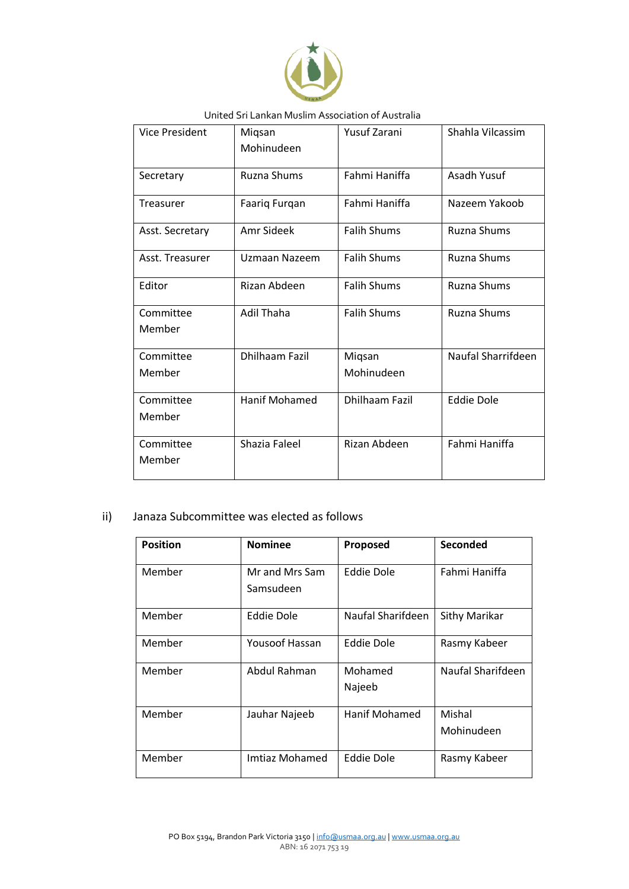

| <b>Vice President</b> | Miqsan               | <b>Yusuf Zarani</b>   | Shahla Vilcassim   |
|-----------------------|----------------------|-----------------------|--------------------|
|                       | Mohinudeen           |                       |                    |
| Secretary             | <b>Ruzna Shums</b>   | Fahmi Haniffa         | Asadh Yusuf        |
| Treasurer             | Faariq Furqan        | Fahmi Haniffa         | Nazeem Yakoob      |
| Asst. Secretary       | Amr Sideek           | <b>Falih Shums</b>    | <b>Ruzna Shums</b> |
| Asst. Treasurer       | Uzmaan Nazeem        | <b>Falih Shums</b>    | <b>Ruzna Shums</b> |
| Editor                | Rizan Abdeen         | <b>Falih Shums</b>    | <b>Ruzna Shums</b> |
| Committee             | <b>Adil Thaha</b>    | <b>Falih Shums</b>    | <b>Ruzna Shums</b> |
| Member                |                      |                       |                    |
| Committee             | Dhilhaam Fazil       | Miqsan                | Naufal Sharrifdeen |
| Member                |                      | Mohinudeen            |                    |
| Committee             | <b>Hanif Mohamed</b> | <b>Dhilhaam Fazil</b> | <b>Eddie Dole</b>  |
| Member                |                      |                       |                    |
| Committee             | Shazia Faleel        | Rizan Abdeen          | Fahmi Haniffa      |
| Member                |                      |                       |                    |

## ii) Janaza Subcommittee was elected as follows

| <b>Position</b> | <b>Nominee</b>              | Proposed          | Seconded             |
|-----------------|-----------------------------|-------------------|----------------------|
| Member          | Mr and Mrs Sam<br>Samsudeen | Eddie Dole        | Fahmi Haniffa        |
| Member          | Eddie Dole                  | Naufal Sharifdeen | Sithy Marikar        |
| Member          | Yousoof Hassan              | Eddie Dole        | Rasmy Kabeer         |
| Member          | Abdul Rahman                | Mohamed<br>Najeeb | Naufal Sharifdeen    |
| Member          | Jauhar Najeeb               | Hanif Mohamed     | Mishal<br>Mohinudeen |
| Member          | Imtiaz Mohamed              | <b>Eddie Dole</b> | Rasmy Kabeer         |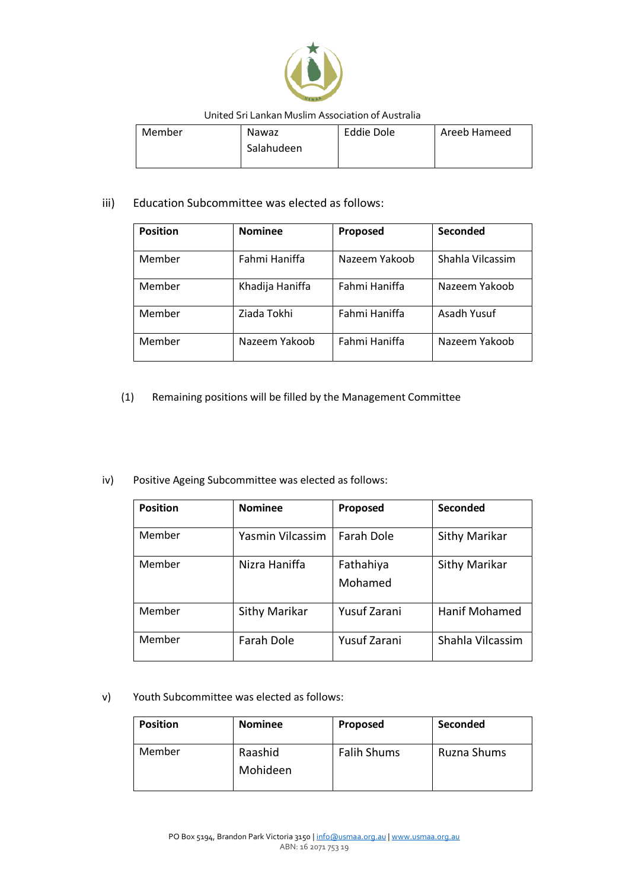

| Member | Nawaz      | Eddie Dole | Areeb Hameed |
|--------|------------|------------|--------------|
|        | Salahudeen |            |              |
|        |            |            |              |

## iii) Education Subcommittee was elected as follows:

| <b>Position</b> | <b>Nominee</b>  | Proposed      | Seconded         |
|-----------------|-----------------|---------------|------------------|
| Member          | Fahmi Haniffa   | Nazeem Yakoob | Shahla Vilcassim |
| Member          | Khadija Haniffa | Fahmi Haniffa | Nazeem Yakoob    |
| Member          | Ziada Tokhi     | Fahmi Haniffa | Asadh Yusuf      |
| Member          | Nazeem Yakoob   | Fahmi Haniffa | Nazeem Yakoob    |

## (1) Remaining positions will be filled by the Management Committee

#### iv) Positive Ageing Subcommittee was elected as follows:

| <b>Position</b> | <b>Nominee</b>    | Proposed             | Seconded             |
|-----------------|-------------------|----------------------|----------------------|
| Member          | Yasmin Vilcassim  | <b>Farah Dole</b>    | Sithy Marikar        |
| Member          | Nizra Haniffa     | Fathahiya<br>Mohamed | Sithy Marikar        |
| Member          | Sithy Marikar     | <b>Yusuf Zarani</b>  | <b>Hanif Mohamed</b> |
| Member          | <b>Farah Dole</b> | <b>Yusuf Zarani</b>  | Shahla Vilcassim     |

v) Youth Subcommittee was elected as follows:

| <b>Position</b> | <b>Nominee</b>      | Proposed           | Seconded    |
|-----------------|---------------------|--------------------|-------------|
| Member          | Raashid<br>Mohideen | <b>Falih Shums</b> | Ruzna Shums |